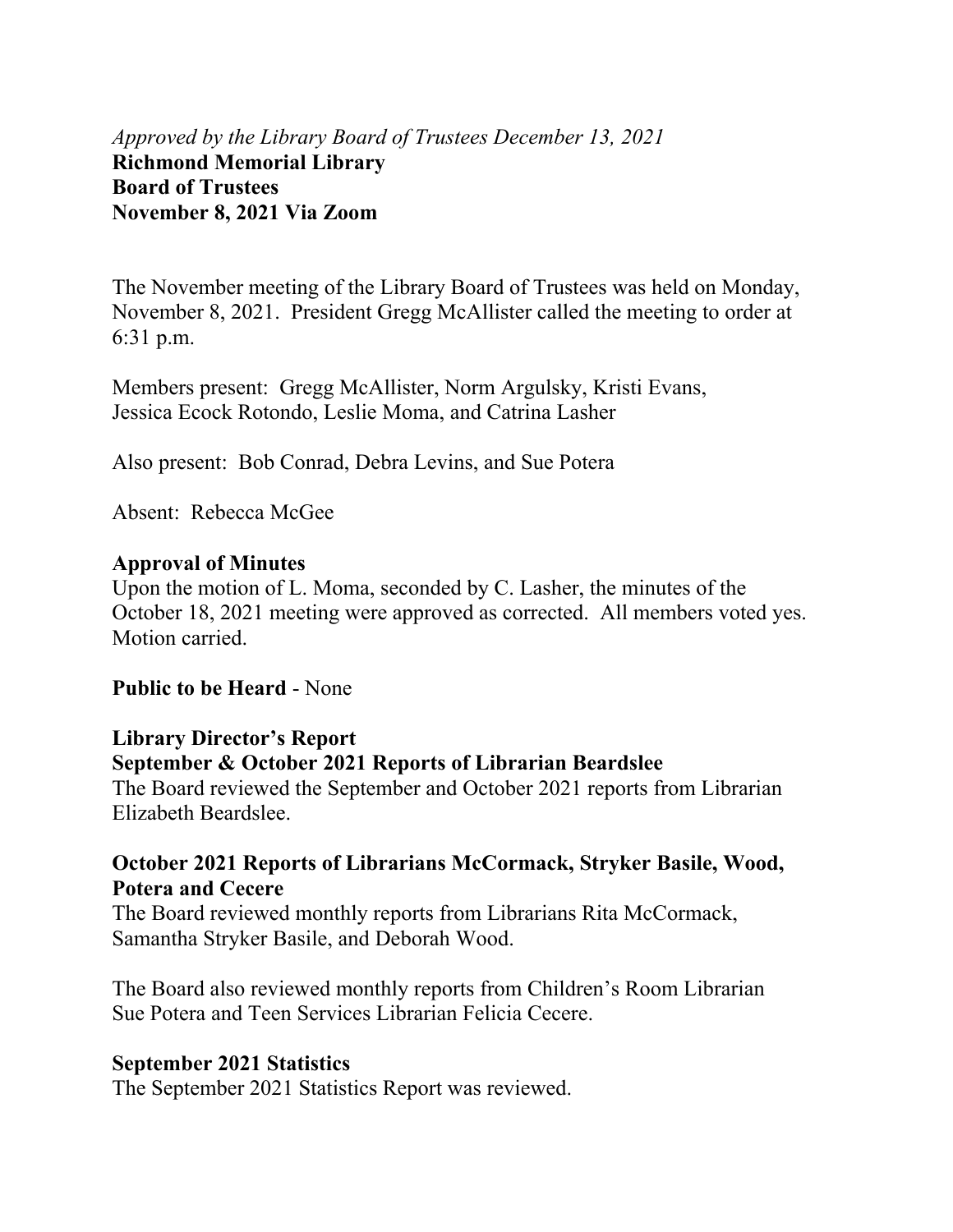*Approved by the Library Board of Trustees December 13, 2021* **Richmond Memorial Library Board of Trustees November 8, 2021 Via Zoom** 

The November meeting of the Library Board of Trustees was held on Monday, November 8, 2021. President Gregg McAllister called the meeting to order at 6:31 p.m.

Members present: Gregg McAllister, Norm Argulsky, Kristi Evans, Jessica Ecock Rotondo, Leslie Moma, and Catrina Lasher

Also present: Bob Conrad, Debra Levins, and Sue Potera

Absent: Rebecca McGee

#### **Approval of Minutes**

Upon the motion of L. Moma, seconded by C. Lasher, the minutes of the October 18, 2021 meeting were approved as corrected. All members voted yes. Motion carried.

#### **Public to be Heard** - None

#### **Library Director's Report September & October 2021 Reports of Librarian Beardslee**

The Board reviewed the September and October 2021 reports from Librarian Elizabeth Beardslee.

#### **October 2021 Reports of Librarians McCormack, Stryker Basile, Wood, Potera and Cecere**

The Board reviewed monthly reports from Librarians Rita McCormack, Samantha Stryker Basile, and Deborah Wood.

The Board also reviewed monthly reports from Children's Room Librarian Sue Potera and Teen Services Librarian Felicia Cecere.

#### **September 2021 Statistics**

The September 2021 Statistics Report was reviewed.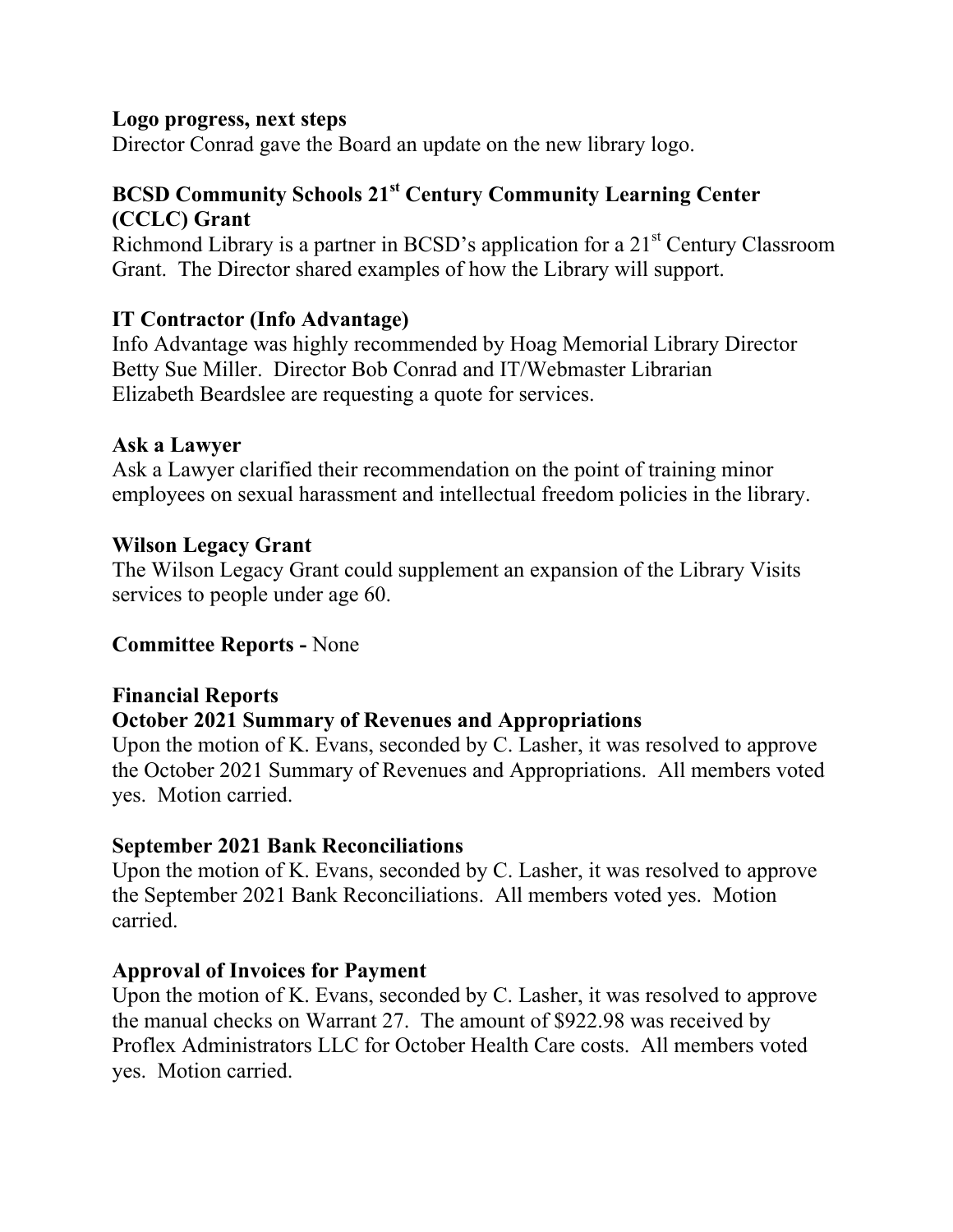## **Logo progress, next steps**

Director Conrad gave the Board an update on the new library logo.

# **BCSD Community Schools 21st Century Community Learning Center (CCLC) Grant**

Richmond Library is a partner in BCSD's application for a  $21<sup>st</sup>$  Century Classroom Grant. The Director shared examples of how the Library will support.

## **IT Contractor (Info Advantage)**

Info Advantage was highly recommended by Hoag Memorial Library Director Betty Sue Miller. Director Bob Conrad and IT/Webmaster Librarian Elizabeth Beardslee are requesting a quote for services.

#### **Ask a Lawyer**

Ask a Lawyer clarified their recommendation on the point of training minor employees on sexual harassment and intellectual freedom policies in the library.

## **Wilson Legacy Grant**

The Wilson Legacy Grant could supplement an expansion of the Library Visits services to people under age 60.

## **Committee Reports -** None

## **Financial Reports**

## **October 2021 Summary of Revenues and Appropriations**

Upon the motion of K. Evans, seconded by C. Lasher, it was resolved to approve the October 2021 Summary of Revenues and Appropriations. All members voted yes. Motion carried.

## **September 2021 Bank Reconciliations**

Upon the motion of K. Evans, seconded by C. Lasher, it was resolved to approve the September 2021 Bank Reconciliations. All members voted yes. Motion carried.

## **Approval of Invoices for Payment**

Upon the motion of K. Evans, seconded by C. Lasher, it was resolved to approve the manual checks on Warrant 27. The amount of \$922.98 was received by Proflex Administrators LLC for October Health Care costs. All members voted yes. Motion carried.